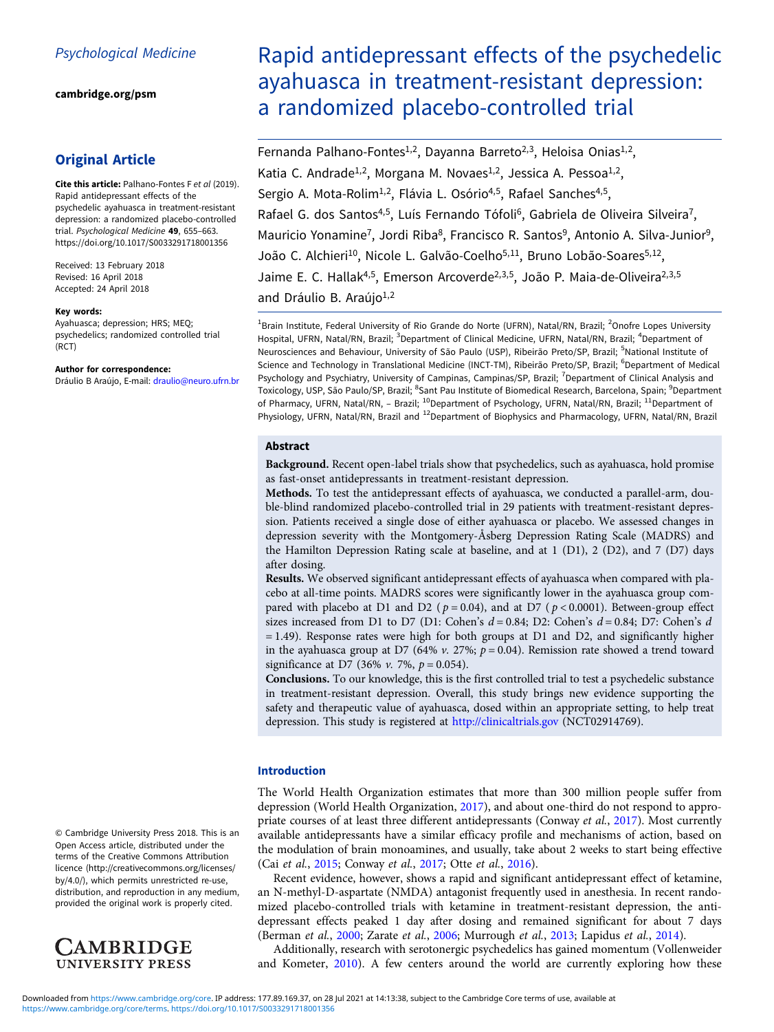[cambridge.org/psm](https://www.cambridge.org/psm)

# Original Article

Cite this article: Palhano-Fontes F et al (2019). Rapid antidepressant effects of the psychedelic ayahuasca in treatment-resistant depression: a randomized placebo-controlled trial. Psychological Medicine 49, 655–663. <https://doi.org/10.1017/S0033291718001356>

Received: 13 February 2018 Revised: 16 April 2018 Accepted: 24 April 2018

#### Key words:

Ayahuasca; depression; HRS; MEQ; psychedelics; randomized controlled trial (RCT)

#### Author for correspondence:

Dráulio B Araújo, E-mail: [draulio@neuro.ufrn.br](mailto:draulio@neuro.ufrn.br)

# Rapid antidepressant effects of the psychedelic ayahuasca in treatment-resistant depression: a randomized placebo-controlled trial

Fernanda Palhano-Fontes<sup>1,2</sup>, Dayanna Barreto<sup>2,3</sup>, Heloisa Onias<sup>1,2</sup>, Katia C. Andrade<sup>1,2</sup>, Morgana M. Novaes<sup>1,2</sup>, Jessica A. Pessoa<sup>1,2</sup>, Sergio A. Mota-Rolim<sup>1,2</sup>, Flávia L. Osório<sup>4,5</sup>, Rafael Sanches<sup>4,5</sup>, Rafael G. dos Santos<sup>4,5</sup>, Luís Fernando Tófoli<sup>6</sup>, Gabriela de Oliveira Silveira<sup>7</sup>, Mauricio Yonamine<sup>7</sup>, Jordi Riba<sup>8</sup>, Francisco R. Santos<sup>9</sup>, Antonio A. Silva-Junior<sup>9</sup>, João C. Alchieri<sup>10</sup>, Nicole L. Galvão-Coelho<sup>5,11</sup>, Bruno Lobão-Soares<sup>5,12</sup>, Jaime E. C. Hallak<sup>4,5</sup>, Emerson Arcoverde<sup>2,3,5</sup>, João P. Maia-de-Oliveira<sup>2,3,5</sup> and Dráulio B. Araújo<sup>1,2</sup>

<sup>1</sup>Brain Institute, Federal University of Rio Grande do Norte (UFRN), Natal/RN, Brazil; <sup>2</sup>Onofre Lopes University Hospital, UFRN, Natal/RN, Brazil; <sup>3</sup>Department of Clinical Medicine, UFRN, Natal/RN, Brazil; <sup>4</sup>Department of Neurosciences and Behaviour, University of São Paulo (USP), Ribeirão Preto/SP, Brazil; <sup>5</sup>National Institute of Science and Technology in Translational Medicine (INCT-TM), Ribeirão Preto/SP, Brazil; <sup>6</sup>Department of Medical Psychology and Psychiatry, University of Campinas, Campinas/SP, Brazil; <sup>7</sup>Department of Clinical Analysis and Toxicology, USP, São Paulo/SP, Brazil; <sup>8</sup>Sant Pau Institute of Biomedical Research, Barcelona, Spain; <sup>9</sup>Department of Pharmacy, UFRN, Natal/RN, - Brazil; <sup>10</sup>Department of Psychology, UFRN, Natal/RN, Brazil; <sup>11</sup>Department of Physiology, UFRN, Natal/RN, Brazil and 12Department of Biophysics and Pharmacology, UFRN, Natal/RN, Brazil

#### Abstract

Background. Recent open-label trials show that psychedelics, such as ayahuasca, hold promise as fast-onset antidepressants in treatment-resistant depression.

Methods. To test the antidepressant effects of ayahuasca, we conducted a parallel-arm, double-blind randomized placebo-controlled trial in 29 patients with treatment-resistant depression. Patients received a single dose of either ayahuasca or placebo. We assessed changes in depression severity with the Montgomery-Åsberg Depression Rating Scale (MADRS) and the Hamilton Depression Rating scale at baseline, and at 1 (D1), 2 (D2), and 7 (D7) days after dosing.

Results. We observed significant antidepressant effects of ayahuasca when compared with placebo at all-time points. MADRS scores were significantly lower in the ayahuasca group compared with placebo at D1 and D2 ( $p = 0.04$ ), and at D7 ( $p < 0.0001$ ). Between-group effect sizes increased from D1 to D7 (D1: Cohen's  $d = 0.84$ ; D2: Cohen's  $d = 0.84$ ; D7: Cohen's d  $= 1.49$ ). Response rates were high for both groups at D1 and D2, and significantly higher in the ayahuasca group at D7 (64% v. 27%;  $p = 0.04$ ). Remission rate showed a trend toward significance at D7 (36%  $v$ . 7%,  $p = 0.054$ ).

Conclusions. To our knowledge, this is the first controlled trial to test a psychedelic substance in treatment-resistant depression. Overall, this study brings new evidence supporting the safety and therapeutic value of ayahuasca, dosed within an appropriate setting, to help treat depression. This study is registered at <http://clinicaltrials.gov> (NCT02914769).

# Introduction

The World Health Organization estimates that more than 300 million people suffer from depression (World Health Organization, [2017](#page-8-0)), and about one-third do not respond to appro-priate courses of at least three different antidepressants (Conway et al., [2017\)](#page-7-0). Most currently available antidepressants have a similar efficacy profile and mechanisms of action, based on the modulation of brain monoamines, and usually, take about 2 weeks to start being effective (Cai et al., [2015](#page-7-0); Conway et al., [2017](#page-7-0); Otte et al., [2016\)](#page-7-0).

Recent evidence, however, shows a rapid and significant antidepressant effect of ketamine, an N-methyl-D-aspartate (NMDA) antagonist frequently used in anesthesia. In recent randomized placebo-controlled trials with ketamine in treatment-resistant depression, the antidepressant effects peaked 1 day after dosing and remained significant for about 7 days (Berman et al., [2000](#page-7-0); Zarate et al., [2006](#page-8-0); Murrough et al., [2013](#page-7-0); Lapidus et al., [2014\)](#page-7-0).

Additionally, research with serotonergic psychedelics has gained momentum (Vollenweider and Kometer, [2010](#page-8-0)). A few centers around the world are currently exploring how these

© Cambridge University Press 2018. This is an Open Access article, distributed under the terms of the Creative Commons Attribution licence (http://creativecommons.org/licenses/ by/4.0/), which permits unrestricted re-use, distribution, and reproduction in any medium, provided the original work is properly cited.

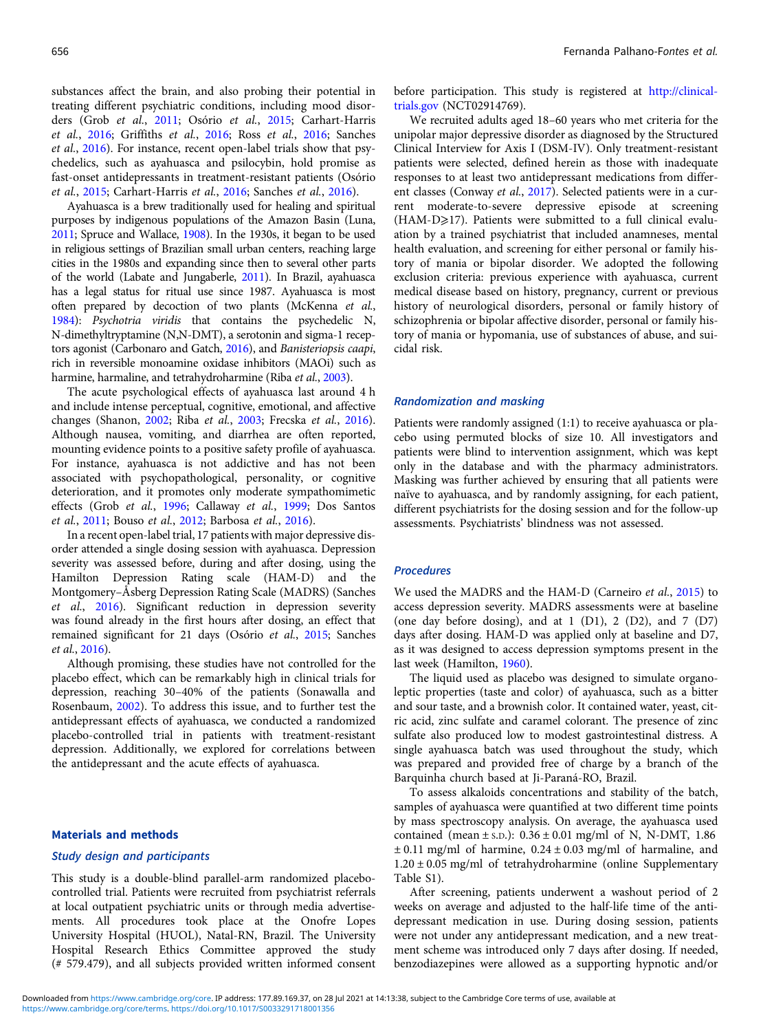substances affect the brain, and also probing their potential in treating different psychiatric conditions, including mood disorders (Grob et al., [2011](#page-7-0); Osório et al., [2015](#page-7-0); Carhart-Harris et al., [2016;](#page-7-0) Griffiths et al., [2016](#page-7-0); Ross et al., [2016;](#page-8-0) Sanches et al., [2016\)](#page-8-0). For instance, recent open-label trials show that psychedelics, such as ayahuasca and psilocybin, hold promise as fast-onset antidepressants in treatment-resistant patients (Osório et al., [2015](#page-7-0); Carhart-Harris et al., [2016;](#page-7-0) Sanches et al., [2016](#page-8-0)).

Ayahuasca is a brew traditionally used for healing and spiritual purposes by indigenous populations of the Amazon Basin (Luna, [2011](#page-7-0); Spruce and Wallace, [1908](#page-8-0)). In the 1930s, it began to be used in religious settings of Brazilian small urban centers, reaching large cities in the 1980s and expanding since then to several other parts of the world (Labate and Jungaberle, [2011\)](#page-7-0). In Brazil, ayahuasca has a legal status for ritual use since 1987. Ayahuasca is most often prepared by decoction of two plants (McKenna et al., [1984](#page-7-0)): Psychotria viridis that contains the psychedelic N, N-dimethyltryptamine (N,N-DMT), a serotonin and sigma-1 receptors agonist (Carbonaro and Gatch, [2016](#page-7-0)), and Banisteriopsis caapi, rich in reversible monoamine oxidase inhibitors (MAOi) such as harmine, harmaline, and tetrahydroharmine (Riba et al., [2003](#page-8-0)).

The acute psychological effects of ayahuasca last around 4 h and include intense perceptual, cognitive, emotional, and affective changes (Shanon, [2002](#page-8-0); Riba et al., [2003](#page-8-0); Frecska et al., [2016\)](#page-7-0). Although nausea, vomiting, and diarrhea are often reported, mounting evidence points to a positive safety profile of ayahuasca. For instance, ayahuasca is not addictive and has not been associated with psychopathological, personality, or cognitive deterioration, and it promotes only moderate sympathomimetic effects (Grob et al., [1996;](#page-7-0) Callaway et al., [1999](#page-7-0); Dos Santos et al., [2011](#page-7-0); Bouso et al., [2012](#page-7-0); Barbosa et al., [2016\)](#page-7-0).

In a recent open-label trial, 17 patients with major depressive disorder attended a single dosing session with ayahuasca. Depression severity was assessed before, during and after dosing, using the Hamilton Depression Rating scale (HAM-D) and the Montgomery–Åsberg Depression Rating Scale (MADRS) (Sanches et al., [2016\)](#page-8-0). Significant reduction in depression severity was found already in the first hours after dosing, an effect that remained significant for 21 days (Osório et al., [2015](#page-7-0); Sanches et al., [2016](#page-8-0)).

Although promising, these studies have not controlled for the placebo effect, which can be remarkably high in clinical trials for depression, reaching 30–40% of the patients (Sonawalla and Rosenbaum, [2002\)](#page-8-0). To address this issue, and to further test the antidepressant effects of ayahuasca, we conducted a randomized placebo-controlled trial in patients with treatment-resistant depression. Additionally, we explored for correlations between the antidepressant and the acute effects of ayahuasca.

# Materials and methods

# Study design and participants

This study is a double-blind parallel-arm randomized placebocontrolled trial. Patients were recruited from psychiatrist referrals at local outpatient psychiatric units or through media advertisements. All procedures took place at the Onofre Lopes University Hospital (HUOL), Natal-RN, Brazil. The University Hospital Research Ethics Committee approved the study (# 579.479), and all subjects provided written informed consent before participation. This study is registered at [http://clinical](http://clinicaltrials.gov)[trials.gov](http://clinicaltrials.gov) (NCT02914769).

We recruited adults aged 18–60 years who met criteria for the unipolar major depressive disorder as diagnosed by the Structured Clinical Interview for Axis I (DSM-IV). Only treatment-resistant patients were selected, defined herein as those with inadequate responses to at least two antidepressant medications from differ-ent classes (Conway et al., [2017\)](#page-7-0). Selected patients were in a current moderate-to-severe depressive episode at screening  $(HAM-D) \geq 17$ ). Patients were submitted to a full clinical evaluation by a trained psychiatrist that included anamneses, mental health evaluation, and screening for either personal or family history of mania or bipolar disorder. We adopted the following exclusion criteria: previous experience with ayahuasca, current medical disease based on history, pregnancy, current or previous history of neurological disorders, personal or family history of schizophrenia or bipolar affective disorder, personal or family history of mania or hypomania, use of substances of abuse, and suicidal risk.

#### Randomization and masking

Patients were randomly assigned (1:1) to receive ayahuasca or placebo using permuted blocks of size 10. All investigators and patients were blind to intervention assignment, which was kept only in the database and with the pharmacy administrators. Masking was further achieved by ensuring that all patients were naïve to ayahuasca, and by randomly assigning, for each patient, different psychiatrists for the dosing session and for the follow-up assessments. Psychiatrists' blindness was not assessed.

# Procedures

We used the MADRS and the HAM-D (Carneiro et al., [2015\)](#page-7-0) to access depression severity. MADRS assessments were at baseline (one day before dosing), and at 1 (D1), 2 (D2), and 7 (D7) days after dosing. HAM-D was applied only at baseline and D7, as it was designed to access depression symptoms present in the last week (Hamilton, [1960\)](#page-7-0).

The liquid used as placebo was designed to simulate organoleptic properties (taste and color) of ayahuasca, such as a bitter and sour taste, and a brownish color. It contained water, yeast, citric acid, zinc sulfate and caramel colorant. The presence of zinc sulfate also produced low to modest gastrointestinal distress. A single ayahuasca batch was used throughout the study, which was prepared and provided free of charge by a branch of the Barquinha church based at Ji-Paraná-RO, Brazil.

To assess alkaloids concentrations and stability of the batch, samples of ayahuasca were quantified at two different time points by mass spectroscopy analysis. On average, the ayahuasca used contained (mean  $\pm$  s.p.):  $0.36 \pm 0.01$  mg/ml of N, N-DMT, 1.86  $\pm$  0.11 mg/ml of harmine, 0.24  $\pm$  0.03 mg/ml of harmaline, and 1.20 ± 0.05 mg/ml of tetrahydroharmine (online Supplementary Table S1).

After screening, patients underwent a washout period of 2 weeks on average and adjusted to the half-life time of the antidepressant medication in use. During dosing session, patients were not under any antidepressant medication, and a new treatment scheme was introduced only 7 days after dosing. If needed, benzodiazepines were allowed as a supporting hypnotic and/or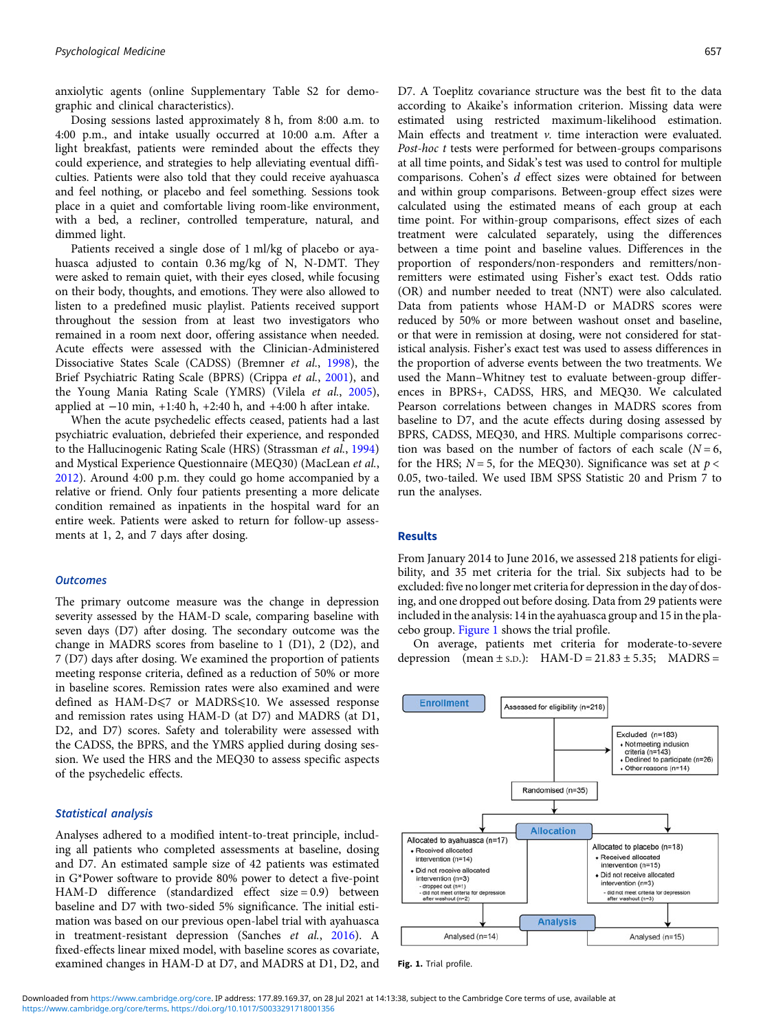anxiolytic agents (online Supplementary Table S2 for demographic and clinical characteristics).

Dosing sessions lasted approximately 8 h, from 8:00 a.m. to 4:00 p.m., and intake usually occurred at 10:00 a.m. After a light breakfast, patients were reminded about the effects they could experience, and strategies to help alleviating eventual difficulties. Patients were also told that they could receive ayahuasca and feel nothing, or placebo and feel something. Sessions took place in a quiet and comfortable living room-like environment, with a bed, a recliner, controlled temperature, natural, and dimmed light.

Patients received a single dose of 1 ml/kg of placebo or ayahuasca adjusted to contain 0.36 mg/kg of N, N-DMT. They were asked to remain quiet, with their eyes closed, while focusing on their body, thoughts, and emotions. They were also allowed to listen to a predefined music playlist. Patients received support throughout the session from at least two investigators who remained in a room next door, offering assistance when needed. Acute effects were assessed with the Clinician-Administered Dissociative States Scale (CADSS) (Bremner et al., [1998\)](#page-7-0), the Brief Psychiatric Rating Scale (BPRS) (Crippa et al., [2001\)](#page-7-0), and the Young Mania Rating Scale (YMRS) (Vilela et al., [2005\)](#page-8-0), applied at  $-10$  min,  $+1:40$  h,  $+2:40$  h, and  $+4:00$  h after intake.

When the acute psychedelic effects ceased, patients had a last psychiatric evaluation, debriefed their experience, and responded to the Hallucinogenic Rating Scale (HRS) (Strassman et al., [1994\)](#page-8-0) and Mystical Experience Questionnaire (MEQ30) (MacLean et al., [2012\)](#page-7-0). Around 4:00 p.m. they could go home accompanied by a relative or friend. Only four patients presenting a more delicate condition remained as inpatients in the hospital ward for an entire week. Patients were asked to return for follow-up assessments at 1, 2, and 7 days after dosing.

#### **Outcomes**

The primary outcome measure was the change in depression severity assessed by the HAM-D scale, comparing baseline with seven days (D7) after dosing. The secondary outcome was the change in MADRS scores from baseline to 1 (D1), 2 (D2), and 7 (D7) days after dosing. We examined the proportion of patients meeting response criteria, defined as a reduction of 50% or more in baseline scores. Remission rates were also examined and were defined as HAM-D≤7 or MADRS≤10. We assessed response and remission rates using HAM-D (at D7) and MADRS (at D1, D2, and D7) scores. Safety and tolerability were assessed with the CADSS, the BPRS, and the YMRS applied during dosing session. We used the HRS and the MEQ30 to assess specific aspects of the psychedelic effects.

# Statistical analysis

Analyses adhered to a modified intent-to-treat principle, including all patients who completed assessments at baseline, dosing and D7. An estimated sample size of 42 patients was estimated in G\*Power software to provide 80% power to detect a five-point HAM-D difference (standardized effect size = 0.9) between baseline and D7 with two-sided 5% significance. The initial estimation was based on our previous open-label trial with ayahuasca in treatment-resistant depression (Sanches et al., [2016](#page-8-0)). A fixed-effects linear mixed model, with baseline scores as covariate, examined changes in HAM-D at D7, and MADRS at D1, D2, and D7. A Toeplitz covariance structure was the best fit to the data according to Akaike's information criterion. Missing data were estimated using restricted maximum-likelihood estimation. Main effects and treatment *v*, time interaction were evaluated. Post-hoc *t* tests were performed for between-groups comparisons at all time points, and Sidak's test was used to control for multiple comparisons. Cohen's d effect sizes were obtained for between and within group comparisons. Between-group effect sizes were calculated using the estimated means of each group at each time point. For within-group comparisons, effect sizes of each treatment were calculated separately, using the differences between a time point and baseline values. Differences in the proportion of responders/non-responders and remitters/nonremitters were estimated using Fisher's exact test. Odds ratio (OR) and number needed to treat (NNT) were also calculated. Data from patients whose HAM-D or MADRS scores were reduced by 50% or more between washout onset and baseline, or that were in remission at dosing, were not considered for statistical analysis. Fisher's exact test was used to assess differences in the proportion of adverse events between the two treatments. We used the Mann–Whitney test to evaluate between-group differences in BPRS+, CADSS, HRS, and MEQ30. We calculated Pearson correlations between changes in MADRS scores from baseline to D7, and the acute effects during dosing assessed by BPRS, CADSS, MEQ30, and HRS. Multiple comparisons correction was based on the number of factors of each scale  $(N = 6,$ for the HRS;  $N = 5$ , for the MEQ30). Significance was set at  $p <$ 0.05, two-tailed. We used IBM SPSS Statistic 20 and Prism 7 to run the analyses.

# Results

From January 2014 to June 2016, we assessed 218 patients for eligibility, and 35 met criteria for the trial. Six subjects had to be excluded: five no longer met criteria for depression in the day of dosing, and one dropped out before dosing. Data from 29 patients were included in the analysis: 14 in the ayahuasca group and 15 in the placebo group. Figure 1 shows the trial profile.

On average, patients met criteria for moderate-to-severe depression (mean  $\pm$  s.p.): HAM-D = 21.83  $\pm$  5.35; MADRS =



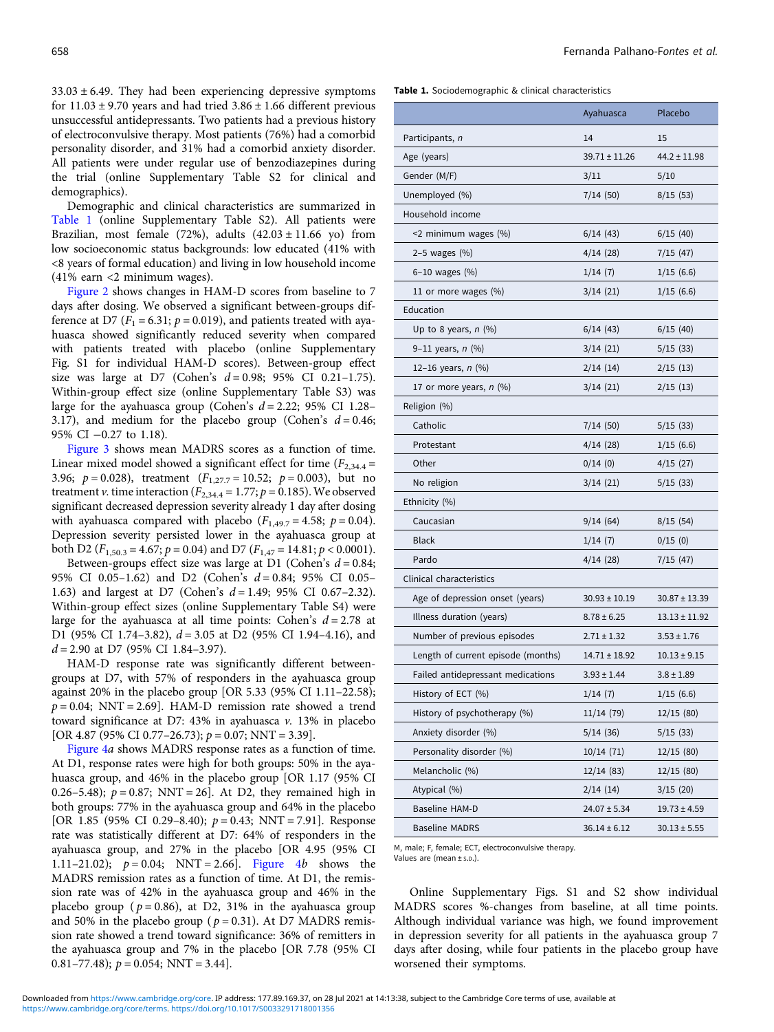$33.03 \pm 6.49$ . They had been experiencing depressive symptoms for  $11.03 \pm 9.70$  years and had tried  $3.86 \pm 1.66$  different previous unsuccessful antidepressants. Two patients had a previous history of electroconvulsive therapy. Most patients (76%) had a comorbid personality disorder, and 31% had a comorbid anxiety disorder. All patients were under regular use of benzodiazepines during the trial (online Supplementary Table S2 for clinical and demographics).

Demographic and clinical characteristics are summarized in Table 1 (online Supplementary Table S2). All patients were Brazilian, most female (72%), adults  $(42.03 \pm 11.66 \text{ yo})$  from low socioeconomic status backgrounds: low educated (41% with <8 years of formal education) and living in low household income (41% earn <2 minimum wages).

[Figure 2](#page-4-0) shows changes in HAM-D scores from baseline to 7 days after dosing. We observed a significant between-groups difference at D7 ( $F_1 = 6.31$ ;  $p = 0.019$ ), and patients treated with ayahuasca showed significantly reduced severity when compared with patients treated with placebo (online Supplementary Fig. S1 for individual HAM-D scores). Between-group effect size was large at D7 (Cohen's  $d = 0.98$ ; 95% CI 0.21-1.75). Within-group effect size (online Supplementary Table S3) was large for the ayahuasca group (Cohen's  $d = 2.22$ ; 95% CI 1.28– 3.17), and medium for the placebo group (Cohen's  $d = 0.46$ ; 95% CI −0.27 to 1.18).

[Figure 3](#page-4-0) shows mean MADRS scores as a function of time. Linear mixed model showed a significant effect for time  $(F_{2,34.4} =$ 3.96;  $p = 0.028$ ), treatment  $(F_{1,27.7} = 10.52; p = 0.003)$ , but no treatment v. time interaction ( $F_{2,34,4} = 1.77$ ;  $p = 0.185$ ). We observed significant decreased depression severity already 1 day after dosing with ayahuasca compared with placebo  $(F<sub>1,49.7</sub> = 4.58; p = 0.04)$ . Depression severity persisted lower in the ayahuasca group at both D2 ( $F_{1,50,3}$  = 4.67;  $p = 0.04$ ) and D7 ( $F_{1,47}$  = 14.81;  $p < 0.0001$ ).

Between-groups effect size was large at D1 (Cohen's  $d = 0.84$ ; 95% CI 0.05-1.62) and D2 (Cohen's  $d = 0.84$ ; 95% CI 0.05-1.63) and largest at D7 (Cohen's  $d = 1.49$ ; 95% CI 0.67-2.32). Within-group effect sizes (online Supplementary Table S4) were large for the ayahuasca at all time points: Cohen's  $d = 2.78$  at D1 (95% CI 1.74–3.82),  $d = 3.05$  at D2 (95% CI 1.94–4.16), and  $d = 2.90$  at D7 (95% CI 1.84-3.97).

HAM-D response rate was significantly different betweengroups at D7, with 57% of responders in the ayahuasca group against 20% in the placebo group [OR 5.33 (95% CI 1.11–22.58);  $p = 0.04$ ; NNT = 2.69]. HAM-D remission rate showed a trend toward significance at D7: 43% in ayahuasca v. 13% in placebo [OR 4.87 (95% CI 0.77–26.73);  $p = 0.07$ ; NNT = 3.39].

[Figure 4](#page-4-0)a shows MADRS response rates as a function of time. At D1, response rates were high for both groups: 50% in the ayahuasca group, and 46% in the placebo group [OR 1.17 (95% CI 0.26–5.48);  $p = 0.87$ ; NNT = 26]. At D2, they remained high in both groups: 77% in the ayahuasca group and 64% in the placebo [OR 1.85 (95% CI 0.29–8.40);  $p = 0.43$ ; NNT = 7.91]. Response rate was statistically different at D7: 64% of responders in the ayahuasca group, and 27% in the placebo [OR 4.95 (95% CI 1.11–21.02);  $p = 0.04$ ; NNT = 2.66]. [Figure 4](#page-4-0)b shows the MADRS remission rates as a function of time. At D1, the remission rate was of 42% in the ayahuasca group and 46% in the placebo group ( $p = 0.86$ ), at D2, 31% in the ayahuasca group and 50% in the placebo group ( $p = 0.31$ ). At D7 MADRS remission rate showed a trend toward significance: 36% of remitters in the ayahuasca group and 7% in the placebo [OR 7.78 (95% CI 0.81–77.48);  $p = 0.054$ ; NNT = 3.44].

Table 1. Sociodemographic & clinical characteristics

|                                    | Ayahuasca         | Placebo           |
|------------------------------------|-------------------|-------------------|
| Participants, n                    | 14                | 15                |
| Age (years)                        | $39.71 \pm 11.26$ | $44.2 \pm 11.98$  |
| Gender (M/F)                       | 3/11              | 5/10              |
| Unemployed (%)                     | 7/14(50)          | 8/15(53)          |
| Household income                   |                   |                   |
| <2 minimum wages (%)               | 6/14(43)          | 6/15(40)          |
| $2-5$ wages $(\%)$                 | 4/14(28)          | 7/15 (47)         |
| 6-10 wages (%)                     | 1/14(7)           | 1/15(6.6)         |
| 11 or more wages (%)               | 3/14(21)          | 1/15(6.6)         |
| Education                          |                   |                   |
| Up to 8 years, $n$ (%)             | 6/14(43)          | 6/15(40)          |
| 9–11 years, $n$ (%)                | 3/14(21)          | 5/15(33)          |
| 12-16 years, $n$ (%)               | 2/14(14)          | 2/15(13)          |
| 17 or more years, $n$ (%)          | 3/14(21)          | 2/15(13)          |
| Religion (%)                       |                   |                   |
| Catholic                           | 7/14(50)          | 5/15(33)          |
| Protestant                         | 4/14(28)          | 1/15(6.6)         |
| Other                              | 0/14(0)           | 4/15(27)          |
| No religion                        | 3/14(21)          | 5/15(33)          |
| Ethnicity (%)                      |                   |                   |
| Caucasian                          | 9/14(64)          | 8/15(54)          |
| <b>Black</b>                       | 1/14(7)           | 0/15(0)           |
| Pardo                              | 4/14(28)          | 7/15(47)          |
| Clinical characteristics           |                   |                   |
| Age of depression onset (years)    | $30.93 \pm 10.19$ | $30.87 \pm 13.39$ |
| Illness duration (years)           | $8.78 \pm 6.25$   | $13.13 \pm 11.92$ |
| Number of previous episodes        | $2.71 \pm 1.32$   | $3.53 \pm 1.76$   |
| Length of current episode (months) | $14.71 \pm 18.92$ | $10.13 \pm 9.15$  |
| Failed antidepressant medications  | $3.93 \pm 1.44$   | $3.8 \pm 1.89$    |
| History of ECT (%)                 | 1/14(7)           | 1/15(6.6)         |
| History of psychotherapy (%)       | 11/14 (79)        | 12/15(80)         |
| Anxiety disorder (%)               | 5/14(36)          | 5/15(33)          |
| Personality disorder (%)           | 10/14(71)         | 12/15(80)         |
| Melancholic (%)                    | 12/14(83)         | 12/15(80)         |
| Atypical (%)                       | 2/14(14)          | 3/15(20)          |
| Baseline HAM-D                     | $24.07 \pm 5.34$  | $19.73 \pm 4.59$  |
| <b>Baseline MADRS</b>              | $36.14 \pm 6.12$  | $30.13 \pm 5.55$  |

M, male; F, female; ECT, electroconvulsive therapy.

Values are (mean ± S.D.).

Online Supplementary Figs. S1 and S2 show individual MADRS scores %-changes from baseline, at all time points. Although individual variance was high, we found improvement in depression severity for all patients in the ayahuasca group 7 days after dosing, while four patients in the placebo group have worsened their symptoms.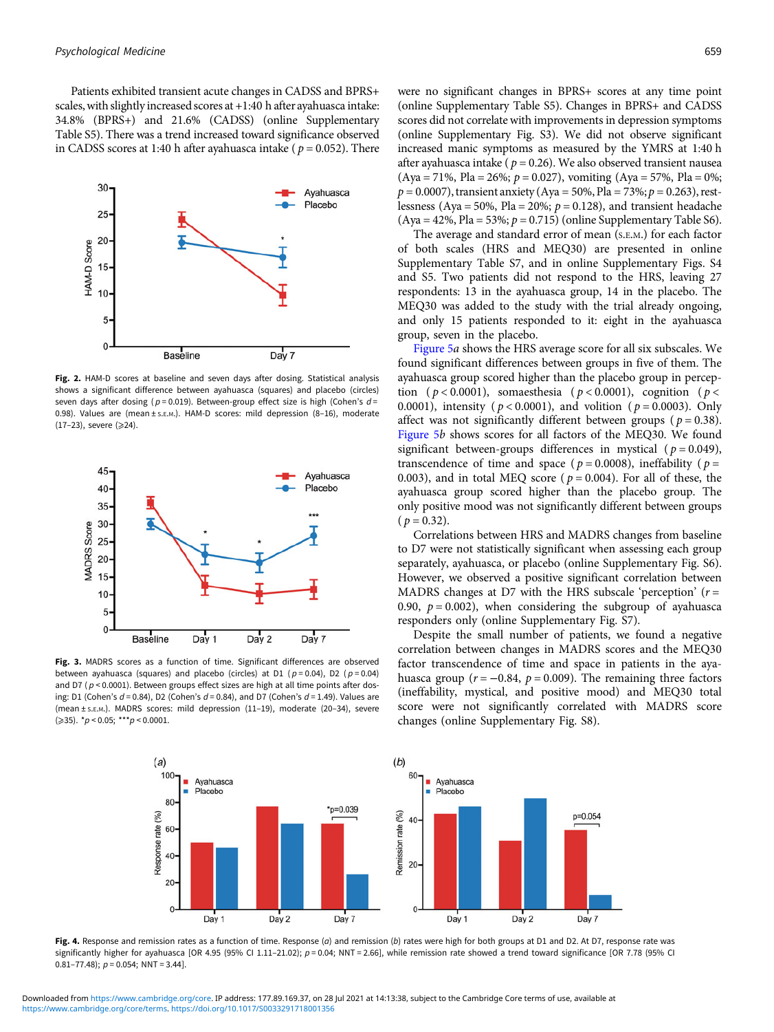<span id="page-4-0"></span>Patients exhibited transient acute changes in CADSS and BPRS+ scales, with slightly increased scores at +1:40 h after ayahuasca intake: 34.8% (BPRS+) and 21.6% (CADSS) (online Supplementary Table S5). There was a trend increased toward significance observed in CADSS scores at 1:40 h after ayahuasca intake ( $p = 0.052$ ). There



Fig. 2. HAM-D scores at baseline and seven days after dosing. Statistical analysis shows a significant difference between ayahuasca (squares) and placebo (circles) seven days after dosing ( $p = 0.019$ ). Between-group effect size is high (Cohen's  $d =$ 0.98). Values are (mean ± S.E.M.). HAM-D scores: mild depression (8–16), moderate (17-23), severe (≥24).



Fig. 3. MADRS scores as a function of time. Significant differences are observed between ayahuasca (squares) and placebo (circles) at D1 ( $p = 0.04$ ), D2 ( $p = 0.04$ ) and D7 ( $p < 0.0001$ ). Between groups effect sizes are high at all time points after dosing: D1 (Cohen's  $d = 0.84$ ), D2 (Cohen's  $d = 0.84$ ), and D7 (Cohen's  $d = 1.49$ ). Values are (mean ± S.E.M.). MADRS scores: mild depression (11–19), moderate (20–34), severe  $(\geq 35)$ . \* $p < 0.05$ ; \*\*\* $p < 0.0001$ .

were no significant changes in BPRS+ scores at any time point (online Supplementary Table S5). Changes in BPRS+ and CADSS scores did not correlate with improvements in depression symptoms (online Supplementary Fig. S3). We did not observe significant increased manic symptoms as measured by the YMRS at 1:40 h after ayahuasca intake ( $p = 0.26$ ). We also observed transient nausea  $(Aya = 71\%, \text{ Pla} = 26\%; p = 0.027),$  vomiting  $(Aya = 57\%, \text{ Pla} = 0\%;$  $p = 0.0007$ , transient anxiety (Aya = 50%, Pla = 73%;  $p = 0.263$ ), restlessness (Aya = 50%, Pla = 20%;  $p = 0.128$ ), and transient headache  $(Aya = 42\%, Pla = 53\%; p = 0.715)$  (online Supplementary Table S6).

The average and standard error of mean (S.E.M.) for each factor of both scales (HRS and MEQ30) are presented in online Supplementary Table S7, and in online Supplementary Figs. S4 and S5. Two patients did not respond to the HRS, leaving 27 respondents: 13 in the ayahuasca group, 14 in the placebo. The MEQ30 was added to the study with the trial already ongoing, and only 15 patients responded to it: eight in the ayahuasca group, seven in the placebo.

[Figure 5](#page-5-0)a shows the HRS average score for all six subscales. We found significant differences between groups in five of them. The ayahuasca group scored higher than the placebo group in perception ( $p < 0.0001$ ), somaesthesia ( $p < 0.0001$ ), cognition ( $p <$ 0.0001), intensity ( $p < 0.0001$ ), and volition ( $p = 0.0003$ ). Only affect was not significantly different between groups ( $p = 0.38$ ). [Figure 5](#page-5-0)b shows scores for all factors of the MEQ30. We found significant between-groups differences in mystical ( $p = 0.049$ ), transcendence of time and space ( $p = 0.0008$ ), ineffability ( $p =$ 0.003), and in total MEQ score ( $p = 0.004$ ). For all of these, the ayahuasca group scored higher than the placebo group. The only positive mood was not significantly different between groups  $(p = 0.32)$ .

Correlations between HRS and MADRS changes from baseline to D7 were not statistically significant when assessing each group separately, ayahuasca, or placebo (online Supplementary Fig. S6). However, we observed a positive significant correlation between MADRS changes at D7 with the HRS subscale 'perception'  $(r =$ 0.90,  $p = 0.002$ ), when considering the subgroup of ayahuasca responders only (online Supplementary Fig. S7).

Despite the small number of patients, we found a negative correlation between changes in MADRS scores and the MEQ30 factor transcendence of time and space in patients in the ayahuasca group ( $r = -0.84$ ,  $p = 0.009$ ). The remaining three factors (ineffability, mystical, and positive mood) and MEQ30 total score were not significantly correlated with MADRS score changes (online Supplementary Fig. S8).



Fig. 4. Response and remission rates as a function of time. Response (a) and remission (b) rates were high for both groups at D1 and D2. At D7, response rate was significantly higher for ayahuasca [OR 4.95 (95% CI 1.11-21.02);  $p = 0.04$ ; NNT = 2.66], while remission rate showed a trend toward significance [OR 7.78 (95% CI 0.81–77.48);  $p = 0.054$ ; NNT = 3.44].

[https://www.cambridge.org/core/terms.](https://www.cambridge.org/core/terms) <https://doi.org/10.1017/S0033291718001356> Downloaded from [https://www.cambridge.org/core.](https://www.cambridge.org/core) IP address: 177.89.169.37, on 28 Jul 2021 at 14:13:38, subject to the Cambridge Core terms of use, available at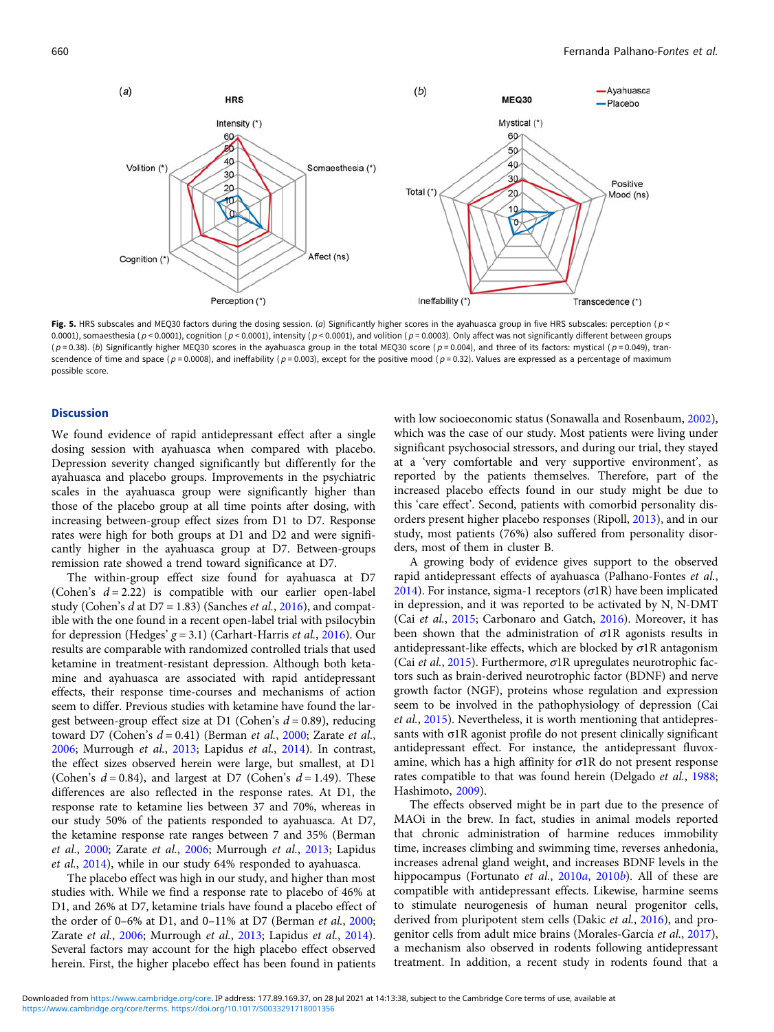<span id="page-5-0"></span>

Fig. 5. HRS subscales and MEQ30 factors during the dosing session. (a) Significantly higher scores in the ayahuasca group in five HRS subscales: perception ( $p <$ 0.0001), somaesthesia ( $p < 0.0001$ ), cognition ( $p < 0.0001$ ), intensity ( $p < 0.0001$ ), and volition ( $p = 0.0003$ ). Only affect was not significantly different between groups  $(p = 0.38)$ . (b) Significantly higher MEQ30 scores in the ayahuasca group in the total MEQ30 score ( $p = 0.004$ ), and three of its factors: mystical ( $p = 0.049$ ), transcendence of time and space ( $p = 0.0008$ ), and ineffability ( $p = 0.003$ ), except for the positive mood ( $p = 0.32$ ). Values are expressed as a percentage of maximum possible score.

# **Discussion**

We found evidence of rapid antidepressant effect after a single dosing session with ayahuasca when compared with placebo. Depression severity changed significantly but differently for the ayahuasca and placebo groups. Improvements in the psychiatric scales in the ayahuasca group were significantly higher than those of the placebo group at all time points after dosing, with increasing between-group effect sizes from D1 to D7. Response rates were high for both groups at D1 and D2 and were significantly higher in the ayahuasca group at D7. Between-groups remission rate showed a trend toward significance at D7.

The within-group effect size found for ayahuasca at D7 (Cohen's  $d = 2.22$ ) is compatible with our earlier open-label study (Cohen's  $d$  at D7 = 1.83) (Sanches et al., [2016](#page-8-0)), and compatible with the one found in a recent open-label trial with psilocybin for depression (Hedges'  $g = 3.1$ ) (Carhart-Harris *et al.*, [2016\)](#page-7-0). Our results are comparable with randomized controlled trials that used ketamine in treatment-resistant depression. Although both ketamine and ayahuasca are associated with rapid antidepressant effects, their response time-courses and mechanisms of action seem to differ. Previous studies with ketamine have found the largest between-group effect size at D1 (Cohen's  $d = 0.89$ ), reducing toward D7 (Cohen's  $d = 0.41$ ) (Berman et al., [2000;](#page-7-0) Zarate et al., [2006;](#page-8-0) Murrough et al., [2013](#page-7-0); Lapidus et al., [2014](#page-7-0)). In contrast, the effect sizes observed herein were large, but smallest, at D1 (Cohen's  $d = 0.84$ ), and largest at D7 (Cohen's  $d = 1.49$ ). These differences are also reflected in the response rates. At D1, the response rate to ketamine lies between 37 and 70%, whereas in our study 50% of the patients responded to ayahuasca. At D7, the ketamine response rate ranges between 7 and 35% (Berman et al., [2000](#page-7-0); Zarate et al., [2006;](#page-8-0) Murrough et al., [2013](#page-7-0); Lapidus et al., [2014](#page-7-0)), while in our study 64% responded to ayahuasca.

The placebo effect was high in our study, and higher than most studies with. While we find a response rate to placebo of 46% at D1, and 26% at D7, ketamine trials have found a placebo effect of the order of 0–6% at D1, and 0–11% at D7 (Berman et al., [2000](#page-7-0); Zarate et al., [2006](#page-8-0); Murrough et al., [2013;](#page-7-0) Lapidus et al., [2014\)](#page-7-0). Several factors may account for the high placebo effect observed herein. First, the higher placebo effect has been found in patients

with low socioeconomic status (Sonawalla and Rosenbaum, [2002](#page-8-0)), which was the case of our study. Most patients were living under significant psychosocial stressors, and during our trial, they stayed at a 'very comfortable and very supportive environment', as reported by the patients themselves. Therefore, part of the increased placebo effects found in our study might be due to this 'care effect'. Second, patients with comorbid personality disorders present higher placebo responses (Ripoll, [2013](#page-8-0)), and in our study, most patients (76%) also suffered from personality disorders, most of them in cluster B.

A growing body of evidence gives support to the observed rapid antidepressant effects of ayahuasca (Palhano-Fontes et al., [2014\)](#page-7-0). For instance, sigma-1 receptors ( $\sigma$ 1R) have been implicated in depression, and it was reported to be activated by N, N-DMT (Cai et al., [2015](#page-7-0); Carbonaro and Gatch, [2016](#page-7-0)). Moreover, it has been shown that the administration of  $\sigma$ 1R agonists results in antidepressant-like effects, which are blocked by  $\sigma$ 1R antagonism (Cai et al., [2015\)](#page-7-0). Furthermore,  $\sigma$ 1R upregulates neurotrophic factors such as brain-derived neurotrophic factor (BDNF) and nerve growth factor (NGF), proteins whose regulation and expression seem to be involved in the pathophysiology of depression (Cai et al., [2015](#page-7-0)). Nevertheless, it is worth mentioning that antidepressants with σ1R agonist profile do not present clinically significant antidepressant effect. For instance, the antidepressant fluvoxamine, which has a high affinity for  $\sigma$ 1R do not present response rates compatible to that was found herein (Delgado et al., [1988;](#page-7-0) Hashimoto, [2009](#page-7-0)).

The effects observed might be in part due to the presence of MAOi in the brew. In fact, studies in animal models reported that chronic administration of harmine reduces immobility time, increases climbing and swimming time, reverses anhedonia, increases adrenal gland weight, and increases BDNF levels in the hippocampus (Fortunato et al., [2010](#page-7-0)a, 2010b). All of these are compatible with antidepressant effects. Likewise, harmine seems to stimulate neurogenesis of human neural progenitor cells, derived from pluripotent stem cells (Dakic et al., [2016](#page-7-0)), and progenitor cells from adult mice brains (Morales-García et al., [2017](#page-7-0)), a mechanism also observed in rodents following antidepressant treatment. In addition, a recent study in rodents found that a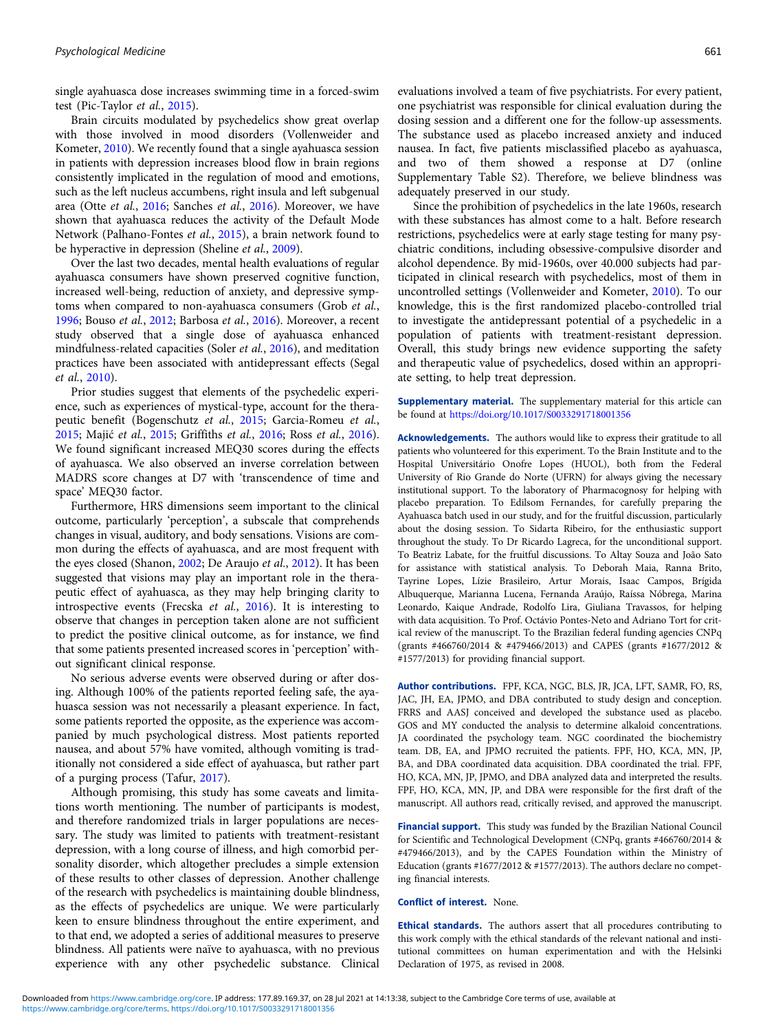single ayahuasca dose increases swimming time in a forced-swim test (Pic-Taylor et al., [2015](#page-8-0)).

Brain circuits modulated by psychedelics show great overlap with those involved in mood disorders (Vollenweider and Kometer, [2010](#page-8-0)). We recently found that a single ayahuasca session in patients with depression increases blood flow in brain regions consistently implicated in the regulation of mood and emotions, such as the left nucleus accumbens, right insula and left subgenual area (Otte et al., [2016](#page-7-0); Sanches et al., [2016](#page-8-0)). Moreover, we have shown that ayahuasca reduces the activity of the Default Mode Network (Palhano-Fontes et al., [2015](#page-8-0)), a brain network found to be hyperactive in depression (Sheline et al., [2009\)](#page-8-0).

Over the last two decades, mental health evaluations of regular ayahuasca consumers have shown preserved cognitive function, increased well-being, reduction of anxiety, and depressive symptoms when compared to non-ayahuasca consumers (Grob et al., [1996;](#page-7-0) Bouso et al., [2012](#page-7-0); Barbosa et al., [2016](#page-7-0)). Moreover, a recent study observed that a single dose of ayahuasca enhanced mindfulness-related capacities (Soler et al., [2016\)](#page-8-0), and meditation practices have been associated with antidepressant effects (Segal et al., [2010\)](#page-8-0).

Prior studies suggest that elements of the psychedelic experience, such as experiences of mystical-type, account for the therapeutic benefit (Bogenschutz et al., [2015;](#page-7-0) Garcia-Romeu et al., [2015;](#page-7-0) Majić et al., [2015;](#page-7-0) Griffiths et al., [2016;](#page-7-0) Ross et al., [2016\)](#page-8-0). We found significant increased MEQ30 scores during the effects of ayahuasca. We also observed an inverse correlation between MADRS score changes at D7 with 'transcendence of time and space' MEQ30 factor.

Furthermore, HRS dimensions seem important to the clinical outcome, particularly 'perception', a subscale that comprehends changes in visual, auditory, and body sensations. Visions are common during the effects of ayahuasca, and are most frequent with the eyes closed (Shanon, [2002](#page-8-0); De Araujo et al., [2012\)](#page-7-0). It has been suggested that visions may play an important role in the therapeutic effect of ayahuasca, as they may help bringing clarity to introspective events (Frecska et al., [2016](#page-7-0)). It is interesting to observe that changes in perception taken alone are not sufficient to predict the positive clinical outcome, as for instance, we find that some patients presented increased scores in 'perception' without significant clinical response.

No serious adverse events were observed during or after dosing. Although 100% of the patients reported feeling safe, the ayahuasca session was not necessarily a pleasant experience. In fact, some patients reported the opposite, as the experience was accompanied by much psychological distress. Most patients reported nausea, and about 57% have vomited, although vomiting is traditionally not considered a side effect of ayahuasca, but rather part of a purging process (Tafur, [2017](#page-8-0)).

Although promising, this study has some caveats and limitations worth mentioning. The number of participants is modest, and therefore randomized trials in larger populations are necessary. The study was limited to patients with treatment-resistant depression, with a long course of illness, and high comorbid personality disorder, which altogether precludes a simple extension of these results to other classes of depression. Another challenge of the research with psychedelics is maintaining double blindness, as the effects of psychedelics are unique. We were particularly keen to ensure blindness throughout the entire experiment, and to that end, we adopted a series of additional measures to preserve blindness. All patients were naïve to ayahuasca, with no previous experience with any other psychedelic substance. Clinical evaluations involved a team of five psychiatrists. For every patient, one psychiatrist was responsible for clinical evaluation during the dosing session and a different one for the follow-up assessments. The substance used as placebo increased anxiety and induced nausea. In fact, five patients misclassified placebo as ayahuasca, and two of them showed a response at D7 (online Supplementary Table S2). Therefore, we believe blindness was adequately preserved in our study.

Since the prohibition of psychedelics in the late 1960s, research with these substances has almost come to a halt. Before research restrictions, psychedelics were at early stage testing for many psychiatric conditions, including obsessive-compulsive disorder and alcohol dependence. By mid-1960s, over 40.000 subjects had participated in clinical research with psychedelics, most of them in uncontrolled settings (Vollenweider and Kometer, [2010](#page-8-0)). To our knowledge, this is the first randomized placebo-controlled trial to investigate the antidepressant potential of a psychedelic in a population of patients with treatment-resistant depression. Overall, this study brings new evidence supporting the safety and therapeutic value of psychedelics, dosed within an appropriate setting, to help treat depression.

Supplementary material. The supplementary material for this article can be found at <https://doi.org/10.1017/S0033291718001356>

Acknowledgements. The authors would like to express their gratitude to all patients who volunteered for this experiment. To the Brain Institute and to the Hospital Universitário Onofre Lopes (HUOL), both from the Federal University of Rio Grande do Norte (UFRN) for always giving the necessary institutional support. To the laboratory of Pharmacognosy for helping with placebo preparation. To Edilsom Fernandes, for carefully preparing the Ayahuasca batch used in our study, and for the fruitful discussion, particularly about the dosing session. To Sidarta Ribeiro, for the enthusiastic support throughout the study. To Dr Ricardo Lagreca, for the unconditional support. To Beatriz Labate, for the fruitful discussions. To Altay Souza and João Sato for assistance with statistical analysis. To Deborah Maia, Ranna Brito, Tayrine Lopes, Lízie Brasileiro, Artur Morais, Isaac Campos, Brígida Albuquerque, Marianna Lucena, Fernanda Araújo, Raíssa Nóbrega, Marina Leonardo, Kaique Andrade, Rodolfo Lira, Giuliana Travassos, for helping with data acquisition. To Prof. Octávio Pontes-Neto and Adriano Tort for critical review of the manuscript. To the Brazilian federal funding agencies CNPq (grants #466760/2014 & #479466/2013) and CAPES (grants #1677/2012 & #1577/2013) for providing financial support.

Author contributions. FPF, KCA, NGC, BLS, JR, JCA, LFT, SAMR, FO, RS, JAC, JH, EA, JPMO, and DBA contributed to study design and conception. FRRS and AASJ conceived and developed the substance used as placebo. GOS and MY conducted the analysis to determine alkaloid concentrations. JA coordinated the psychology team. NGC coordinated the biochemistry team. DB, EA, and JPMO recruited the patients. FPF, HO, KCA, MN, JP, BA, and DBA coordinated data acquisition. DBA coordinated the trial. FPF, HO, KCA, MN, JP, JPMO, and DBA analyzed data and interpreted the results. FPF, HO, KCA, MN, JP, and DBA were responsible for the first draft of the manuscript. All authors read, critically revised, and approved the manuscript.

Financial support. This study was funded by the Brazilian National Council for Scientific and Technological Development (CNPq, grants #466760/2014 & #479466/2013), and by the CAPES Foundation within the Ministry of Education (grants #1677/2012 & #1577/2013). The authors declare no competing financial interests.

### Conflict of interest. None.

Ethical standards. The authors assert that all procedures contributing to this work comply with the ethical standards of the relevant national and institutional committees on human experimentation and with the Helsinki Declaration of 1975, as revised in 2008.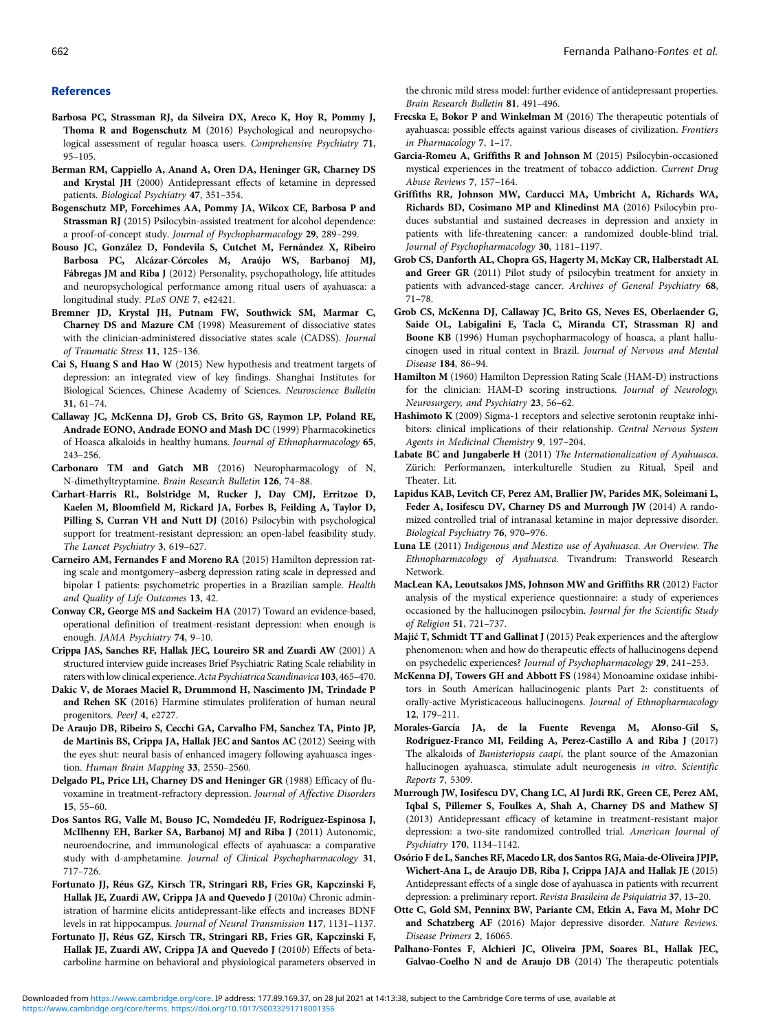#### <span id="page-7-0"></span>References

- Barbosa PC, Strassman RJ, da Silveira DX, Areco K, Hoy R, Pommy J, Thoma R and Bogenschutz M (2016) Psychological and neuropsychological assessment of regular hoasca users. Comprehensive Psychiatry 71, 95–105.
- Berman RM, Cappiello A, Anand A, Oren DA, Heninger GR, Charney DS and Krystal JH (2000) Antidepressant effects of ketamine in depressed patients. Biological Psychiatry 47, 351–354.
- Bogenschutz MP, Forcehimes AA, Pommy JA, Wilcox CE, Barbosa P and Strassman RJ (2015) Psilocybin-assisted treatment for alcohol dependence: a proof-of-concept study. Journal of Psychopharmacology 29, 289–299.
- Bouso JC, González D, Fondevila S, Cutchet M, Fernández X, Ribeiro Barbosa PC, Alcázar-Córcoles M, Araújo WS, Barbanoj MJ, Fábregas JM and Riba J (2012) Personality, psychopathology, life attitudes and neuropsychological performance among ritual users of ayahuasca: a longitudinal study. PLoS ONE 7, e42421.
- Bremner JD, Krystal JH, Putnam FW, Southwick SM, Marmar C, Charney DS and Mazure CM (1998) Measurement of dissociative states with the clinician-administered dissociative states scale (CADSS). Journal of Traumatic Stress 11, 125–136.
- Cai S, Huang S and Hao W (2015) New hypothesis and treatment targets of depression: an integrated view of key findings. Shanghai Institutes for Biological Sciences, Chinese Academy of Sciences. Neuroscience Bulletin 31, 61–74.
- Callaway JC, McKenna DJ, Grob CS, Brito GS, Raymon LP, Poland RE, Andrade EONO, Andrade EONO and Mash DC (1999) Pharmacokinetics of Hoasca alkaloids in healthy humans. Journal of Ethnopharmacology 65, 243–256.
- Carbonaro TM and Gatch MB (2016) Neuropharmacology of N, N-dimethyltryptamine. Brain Research Bulletin 126, 74–88.
- Carhart-Harris RL, Bolstridge M, Rucker J, Day CMJ, Erritzoe D, Kaelen M, Bloomfield M, Rickard JA, Forbes B, Feilding A, Taylor D, Pilling S, Curran VH and Nutt DJ (2016) Psilocybin with psychological support for treatment-resistant depression: an open-label feasibility study. The Lancet Psychiatry 3, 619–627.
- Carneiro AM, Fernandes F and Moreno RA (2015) Hamilton depression rating scale and montgomery–asberg depression rating scale in depressed and bipolar I patients: psychometric properties in a Brazilian sample. Health and Quality of Life Outcomes 13, 42.
- Conway CR, George MS and Sackeim HA (2017) Toward an evidence-based, operational definition of treatment-resistant depression: when enough is enough. JAMA Psychiatry 74, 9–10.
- Crippa JAS, Sanches RF, Hallak JEC, Loureiro SR and Zuardi AW (2001) A structured interview guide increases Brief Psychiatric Rating Scale reliability in raters with low clinical experience.Acta Psychiatrica Scandinavica 103, 465–470.
- Dakic V, de Moraes Maciel R, Drummond H, Nascimento JM, Trindade P and Rehen SK (2016) Harmine stimulates proliferation of human neural progenitors. PeerJ 4, e2727.
- De Araujo DB, Ribeiro S, Cecchi GA, Carvalho FM, Sanchez TA, Pinto JP, de Martinis BS, Crippa JA, Hallak JEC and Santos AC (2012) Seeing with the eyes shut: neural basis of enhanced imagery following ayahuasca ingestion. Human Brain Mapping 33, 2550–2560.
- Delgado PL, Price LH, Charney DS and Heninger GR (1988) Efficacy of fluvoxamine in treatment-refractory depression. Journal of Affective Disorders 15, 55–60.
- Dos Santos RG, Valle M, Bouso JC, Nomdedéu JF, Rodríguez-Espinosa J, McIlhenny EH, Barker SA, Barbanoj MJ and Riba J (2011) Autonomic, neuroendocrine, and immunological effects of ayahuasca: a comparative study with d-amphetamine. Journal of Clinical Psychopharmacology 31, 717–726.
- Fortunato JJ, Réus GZ, Kirsch TR, Stringari RB, Fries GR, Kapczinski F, Hallak JE, Zuardi AW, Crippa JA and Quevedo J (2010a) Chronic administration of harmine elicits antidepressant-like effects and increases BDNF levels in rat hippocampus. Journal of Neural Transmission 117, 1131–1137.
- Fortunato JJ, Réus GZ, Kirsch TR, Stringari RB, Fries GR, Kapczinski F, Hallak JE, Zuardi AW, Crippa JA and Quevedo J (2010b) Effects of betacarboline harmine on behavioral and physiological parameters observed in

the chronic mild stress model: further evidence of antidepressant properties. Brain Research Bulletin 81, 491–496.

- Frecska E, Bokor P and Winkelman M (2016) The therapeutic potentials of ayahuasca: possible effects against various diseases of civilization. Frontiers in Pharmacology 7, 1–17.
- Garcia-Romeu A, Griffiths R and Johnson M (2015) Psilocybin-occasioned mystical experiences in the treatment of tobacco addiction. Current Drug Abuse Reviews 7, 157–164.
- Griffiths RR, Johnson MW, Carducci MA, Umbricht A, Richards WA, Richards BD, Cosimano MP and Klinedinst MA (2016) Psilocybin produces substantial and sustained decreases in depression and anxiety in patients with life-threatening cancer: a randomized double-blind trial. Journal of Psychopharmacology 30, 1181–1197.
- Grob CS, Danforth AL, Chopra GS, Hagerty M, McKay CR, Halberstadt AL and Greer GR (2011) Pilot study of psilocybin treatment for anxiety in patients with advanced-stage cancer. Archives of General Psychiatry 68, 71–78.
- Grob CS, McKenna DJ, Callaway JC, Brito GS, Neves ES, Oberlaender G, Saide OL, Labigalini E, Tacla C, Miranda CT, Strassman RJ and Boone KB (1996) Human psychopharmacology of hoasca, a plant hallucinogen used in ritual context in Brazil. Journal of Nervous and Mental Disease 184, 86–94.
- Hamilton M (1960) Hamilton Depression Rating Scale (HAM-D) instructions for the clinician: HAM-D scoring instructions. Journal of Neurology, Neurosurgery, and Psychiatry 23, 56–62.
- Hashimoto K (2009) Sigma-1 receptors and selective serotonin reuptake inhibitors: clinical implications of their relationship. Central Nervous System Agents in Medicinal Chemistry 9, 197–204.
- Labate BC and Jungaberle H (2011) The Internationalization of Ayahuasca. Zürich: Performanzen, interkulturelle Studien zu Ritual, Speil and Theater. Lit.
- Lapidus KAB, Levitch CF, Perez AM, Brallier JW, Parides MK, Soleimani L, Feder A, Iosifescu DV, Charney DS and Murrough JW (2014) A randomized controlled trial of intranasal ketamine in major depressive disorder. Biological Psychiatry 76, 970–976.
- Luna LE (2011) Indigenous and Mestizo use of Ayahuasca. An Overview. The Ethnopharmacology of Ayahuasca. Tivandrum: Transworld Research Network.
- MacLean KA, Leoutsakos JMS, Johnson MW and Griffiths RR (2012) Factor analysis of the mystical experience questionnaire: a study of experiences occasioned by the hallucinogen psilocybin. Journal for the Scientific Study of Religion 51, 721–737.
- Majić T, Schmidt TT and Gallinat J (2015) Peak experiences and the afterglow phenomenon: when and how do therapeutic effects of hallucinogens depend on psychedelic experiences? Journal of Psychopharmacology 29, 241–253.
- McKenna DJ, Towers GH and Abbott FS (1984) Monoamine oxidase inhibitors in South American hallucinogenic plants Part 2: constituents of orally-active Myristicaceous hallucinogens. Journal of Ethnopharmacology 12, 179–211.
- Morales-García JA, de la Fuente Revenga M, Alonso-Gil S, Rodríguez-Franco MI, Feilding A, Perez-Castillo A and Riba J (2017) The alkaloids of Banisteriopsis caapi, the plant source of the Amazonian hallucinogen ayahuasca, stimulate adult neurogenesis in vitro. Scientific Reports 7, 5309.
- Murrough JW, Iosifescu DV, Chang LC, Al Jurdi RK, Green CE, Perez AM, Iqbal S, Pillemer S, Foulkes A, Shah A, Charney DS and Mathew SJ (2013) Antidepressant efficacy of ketamine in treatment-resistant major depression: a two-site randomized controlled trial. American Journal of Psychiatry 170, 1134–1142.
- Osório F de L, Sanches RF, Macedo LR, dos Santos RG, Maia-de-Oliveira JPJP, Wichert-Ana L, de Araujo DB, Riba J, Crippa JAJA and Hallak JE (2015) Antidepressant effects of a single dose of ayahuasca in patients with recurrent depression: a preliminary report. Revista Brasileira de Psiquiatria 37, 13–20.
- Otte C, Gold SM, Penninx BW, Pariante CM, Etkin A, Fava M, Mohr DC and Schatzberg AF (2016) Major depressive disorder. Nature Reviews. Disease Primers 2, 16065.
- Palhano-Fontes F, Alchieri JC, Oliveira JPM, Soares BL, Hallak JEC, Galvao-Coelho N and de Araujo DB (2014) The therapeutic potentials